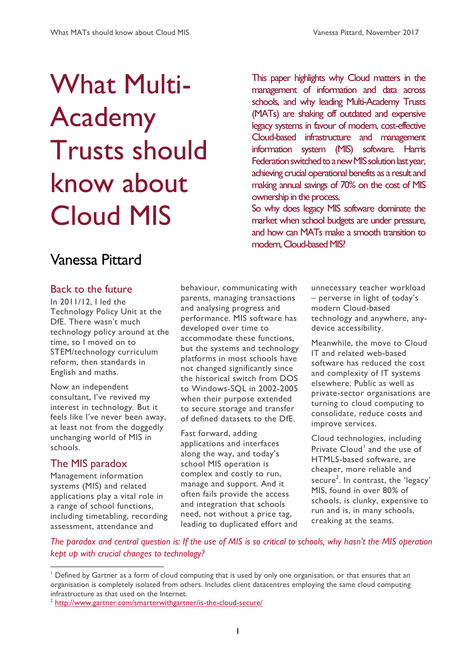# What Multi-Academy Trusts should know about Cloud MIS

This paper highlights why Cloud matters in the management of information and data across schools, and why leading Multi-Academy Trusts (MATs) are shaking off outdated and expensive legacy systems in favour of modern, cost-effective Cloud-based infrastructure and management information system (MIS) software. Harris Federation switched to a new MIS solution last year, achieving crucial operational benefits as a result and making annual savings of 70% on the cost of MIS ownership in the process.

So why does legacy MIS software dominate the market when school budgets are under pressure, and how can MATs make a smooth transition to modern, Cloud-based MIS?

# Vanessa Pittard

#### Back to the future

In 2011/12, I led the Technology Policy Unit at the DfE. There wasn't much technology policy around at the time, so I moved on to STEM/technology curriculum reform, then standards in English and maths.

Now an independent consultant, I've revived my interest in technology. But it feels like I've never been away, at least not from the doggedly unchanging world of MIS in schools.

# The MIS paradox

Management information systems (MIS) and related applications play a vital role in a range of school functions, including timetabling, recording assessment, attendance and

behaviour, communicating with parents, managing transactions and analysing progress and performance. MIS software has developed over time to accommodate these functions, but the systems and technology platforms in most schools have not changed significantly since the historical switch from DOS to Windows-SQL in 2002-2005 when their purpose extended to secure storage and transfer of defined datasets to the DfE.

Fast forward, adding applications and interfaces along the way, and today's school MIS operation is complex and costly to run, manage and support. And it often fails provide the access and integration that schools need, not without a price tag, leading to duplicated effort and

unnecessary teacher workload – perverse in light of today's modern Cloud-based technology and anywhere, anydevice accessibility.

Meanwhile, the move to Cloud IT and related web-based software has reduced the cost and complexity of IT systems elsewhere. Public as well as private-sector organisations are turning to cloud computing to consolidate, reduce costs and improve services.

Cloud technologies, including Private Cloud<sup>1</sup> and the use of HTML5-based software, are cheaper, more reliable and secure<sup>2</sup>. In contrast, the 'legacy' MIS, found in over 80% of schools, is clunky, expensive to run and is, in many schools, creaking at the seams.

*The paradox and central question is: If the use of MIS is so critical to schools, why hasn't the MIS operation kept up with crucial changes to technology?*

<sup>1</sup> Defined by Gartner as a form of cloud computing that is used by only one organisation, or that ensures that an organisation is completely isolated from others. Includes client datacentres employing the same cloud computing infrastructure as that used on the Internet.

<sup>&</sup>lt;sup>2</sup> <http://www.gartner.com/smarterwithgartner/is-the-cloud-secure/>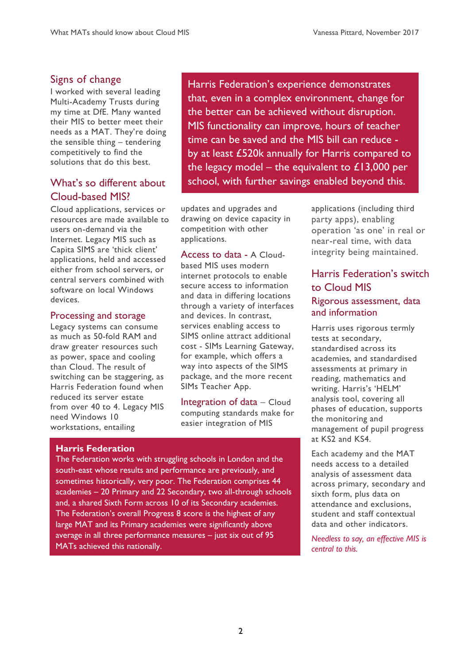# Signs of change

I worked with several leading Multi-Academy Trusts during my time at DfE. Many wanted their MIS to better meet their needs as a MAT. They're doing the sensible thing – tendering competitively to find the solutions that do this best.

# What's so different about Cloud-based MIS?

Cloud applications, services or resources are made available to users on-demand via the Internet. Legacy MIS such as Capita SIMS are 'thick client' applications, held and accessed either from school servers, or central servers combined with software on local Windows devices.

#### Processing and storage

Legacy systems can consume as much as 50-fold RAM and draw greater resources such as power, space and cooling than Cloud. The result of switching can be staggering, as Harris Federation found when reduced its server estate from over 40 to 4. Legacy MIS need Windows 10 workstations, entailing

Harris Federation's experience demonstrates that, even in a complex environment, change for the better can be achieved without disruption. MIS functionality can improve, hours of teacher time can be saved and the MIS bill can reduce by at least £520k annually for Harris compared to the legacy model – the equivalent to  $£13,000$  per school, with further savings enabled beyond this.

updates and upgrades and drawing on device capacity in competition with other applications.

Access to data - A Cloudbased MIS uses modern internet protocols to enable secure access to information and data in differing locations through a variety of interfaces and devices. In contrast, services enabling access to SIMS online attract additional cost - SIMs Learning Gateway, for example, which offers a way into aspects of the SIMS package, and the more recent SIMs Teacher App.

Integration of data – Cloud computing standards make for easier integration of MIS

#### **Harris Federation**

The Federation works with struggling schools in London and the south-east whose results and performance are previously, and sometimes historically, very poor. The Federation comprises 44 academies – 20 Primary and 22 Secondary, two all-through schools and, a shared Sixth Form across 10 of its Secondary academies. The Federation's overall Progress 8 score is the highest of any large MAT and its Primary academies were significantly above average in all three performance measures – just six out of 95 MATs achieved this nationally.

applications (including third party apps), enabling operation 'as one' in real or near-real time, with data integrity being maintained.

# Harris Federation's switch to Cloud MIS Rigorous assessment, data and information

Harris uses rigorous termly tests at secondary, standardised across its academies, and standardised assessments at primary in reading, mathematics and writing. Harris's 'HELM' analysis tool, covering all phases of education, supports the monitoring and management of pupil progress at KS2 and KS4.

Each academy and the MAT needs access to a detailed analysis of assessment data across primary, secondary and sixth form, plus data on attendance and exclusions, student and staff contextual data and other indicators.

*Needless to say, an effective MIS is central to this.*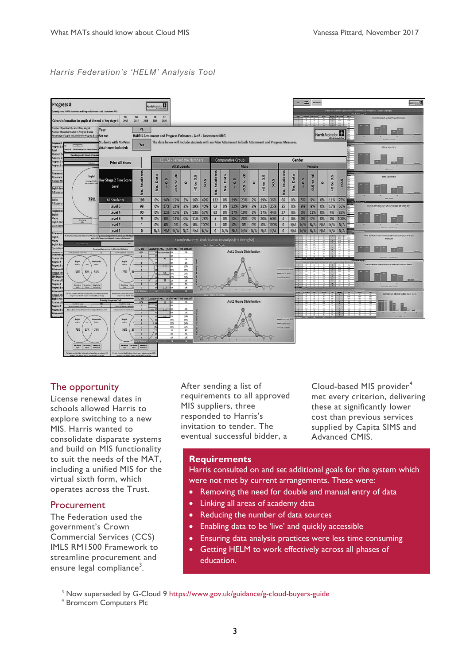#### *Harris Federation's 'HELM' Analysis Tool*



#### The opportunity

License renewal dates in schools allowed Harris to explore switching to a new MIS. Harris wanted to consolidate disparate systems and build on MIS functionality to suit the needs of the MAT, including a unified MIS for the virtual sixth form, which operates across the Trust.

#### Procurement

 $\overline{a}$ 

The Federation used the government's Crown Commercial Services (CCS) IMLS RM1500 Framework to streamline procurement and ensure legal compliance<sup>3</sup>.

After sending a list of requirements to all approved MIS suppliers, three responded to Harris's invitation to tender. The eventual successful bidder, a

Cloud-based MIS provider<sup>4</sup> met every criterion, delivering these at significantly lower cost than previous services supplied by Capita SIMS and Advanced CMIS.

#### **Requirements**

Harris consulted on and set additional goals for the system which were not met by current arrangements. These were:

- Removing the need for double and manual entry of data
- Linking all areas of academy data
- Reducing the number of data sources
- Enabling data to be 'live' and quickly accessible
- Ensuring data analysis practices were less time consuming
- Getting HELM to work effectively across all phases of education.

<sup>&</sup>lt;sup>3</sup> Now superseded by G-Cloud 9<https://www.gov.uk/guidance/g-cloud-buyers-guide>

<sup>4</sup> Bromcom Computers Plc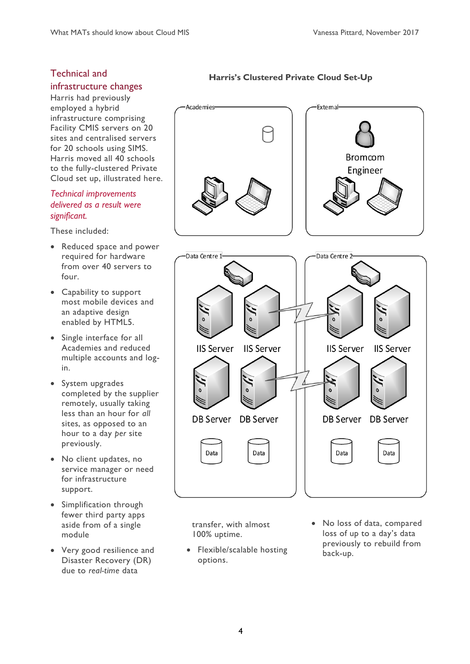#### Technical and infrastructure changes

Harris had previously employed a hybrid infrastructure comprising Facility CMIS servers on 20 sites and centralised servers for 20 schools using SIMS. Harris moved all 40 schools to the fully-clustered Private Cloud set up, illustrated here.

#### *Technical improvements delivered as a result were significant.*

These included:

- Reduced space and power required for hardware from over 40 servers to four.
- Capability to support most mobile devices and an adaptive design enabled by HTML5.
- Single interface for all Academies and reduced multiple accounts and login.
- System upgrades completed by the supplier remotely, usually taking less than an hour for *all* sites, as opposed to an hour to a day *per* site previously.
- No client updates, no service manager or need for infrastructure support.
- Simplification through fewer third party apps aside from of a single module
- Very good resilience and Disaster Recovery (DR) due to *real-time* data

# **Harris's Clustered Private Cloud Set-Up**



transfer, with almost 100% uptime.

- Flexible/scalable hosting options.
- No loss of data, compared loss of up to a day's data previously to rebuild from back-up.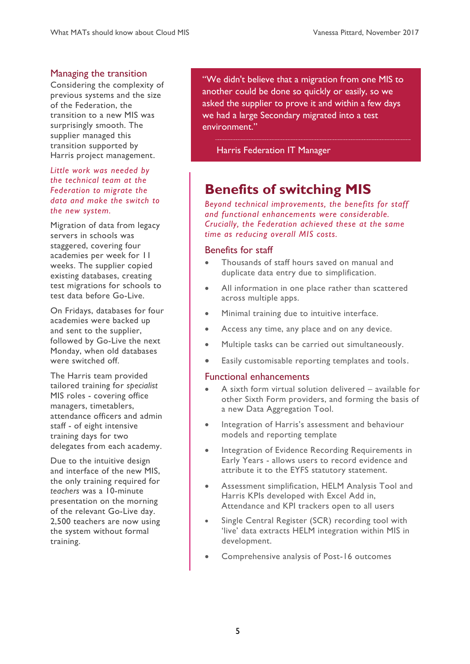#### Managing the transition

Considering the complexity of previous systems and the size of the Federation, the transition to a new MIS was surprisingly smooth. The supplier managed this transition supported by Harris project management.

*Little work was needed by the technical team at the Federation to migrate the data and make the switch to the new system.*

Migration of data from legacy servers in schools was staggered, covering four academies per week for 11 weeks. The supplier copied existing databases, creating test migrations for schools to test data before Go-Live.

On Fridays, databases for four academies were backed up and sent to the supplier, followed by Go-Live the next Monday, when old databases were switched off.

The Harris team provided tailored training for *specialist* MIS roles - covering office managers, timetablers, attendance officers and admin staff - of eight intensive training days for two delegates from each academy.

Due to the intuitive design and interface of the new MIS, the only training required for *teachers* was a 10-minute presentation on the morning of the relevant Go-Live day. 2,500 teachers are now using the system without formal training.

"We didn't believe that a migration from one MIS to another could be done so quickly or easily, so we asked the supplier to prove it and within a few days we had a large Secondary migrated into a test environment."

Harris Federation IT Manager

# **Benefits of switching MIS**

*Beyond technical improvements, the benefits for staff and functional enhancements were considerable. Crucially, the Federation achieved these at the same time as reducing overall MIS costs.*

#### Benefits for staff

- Thousands of staff hours saved on manual and duplicate data entry due to simplification.
- All information in one place rather than scattered across multiple apps.
- Minimal training due to intuitive interface.
- Access any time, any place and on any device.
- Multiple tasks can be carried out simultaneously.
- Easily customisable reporting templates and tools.

#### Functional enhancements

- A sixth form virtual solution delivered available for other Sixth Form providers, and forming the basis of a new Data Aggregation Tool.
- Integration of Harris's assessment and behaviour models and reporting template
- Integration of Evidence Recording Requirements in Early Years - allows users to record evidence and attribute it to the EYFS statutory statement.
- Assessment simplification, HELM Analysis Tool and Harris KPIs developed with Excel Add in, Attendance and KPI trackers open to all users
- Single Central Register (SCR) recording tool with 'live' data extracts HELM integration within MIS in development.
- Comprehensive analysis of Post-16 outcomes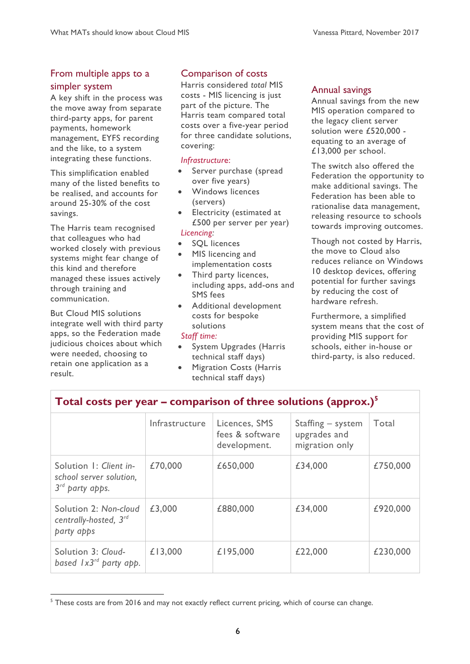# From multiple apps to a simpler system

A key shift in the process was the move away from separate third-party apps, for parent payments, homework management, EYFS recording and the like, to a system integrating these functions.

This simplification enabled many of the listed benefits to be realised, and accounts for around 25-30% of the cost savings.

The Harris team recognised that colleagues who had worked closely with previous systems might fear change of this kind and therefore managed these issues actively through training and communication.

But Cloud MIS solutions integrate well with third party apps, so the Federation made judicious choices about which were needed, choosing to retain one application as a result.

 $\overline{a}$ 

# Comparison of costs

Harris considered *total* MIS costs - MIS licencing is just part of the picture. The Harris team compared total costs over a five-year period for three candidate solutions, covering:

#### *Infrastructur*e:

- Server purchase (spread over five years)
- Windows licences (servers)
- Electricity (estimated at £500 per server per year) *Licencing:*
- SQL licences
- MIS licencing and implementation costs
- Third party licences, including apps, add-ons and SMS fees
- Additional development costs for bespoke solutions

#### *Staff time:*

- System Upgrades (Harris technical staff days)
- Migration Costs (Harris technical staff days)

**Total costs per year – comparison of three solutions (approx.)<sup>5</sup>** 

#### Annual savings

Annual savings from the new MIS operation compared to the legacy client server solution were £520,000 equating to an average of £13,000 per school.

The switch also offered the Federation the opportunity to make additional savings. The Federation has been able to rationalise data management, releasing resource to schools towards improving outcomes.

Though not costed by Harris, the move to Cloud also reduces reliance on Windows 10 desktop devices, offering potential for further savings by reducing the cost of hardware refresh.

Furthermore, a simplified system means that the cost of providing MIS support for schools, either in-house or third-party, is also reduced.

| rotal costs per year companion or an ee solutions (approxi)                      |                |                                                  |                                                     |          |  |  |  |  |
|----------------------------------------------------------------------------------|----------------|--------------------------------------------------|-----------------------------------------------------|----------|--|--|--|--|
|                                                                                  | Infrastructure | Licences, SMS<br>fees & software<br>development. | Staffing – system<br>upgrades and<br>migration only | Total    |  |  |  |  |
| Solution 1: Client in-<br>school server solution,<br>3 <sup>rd</sup> party apps. | £70,000        | £650,000                                         | £34,000                                             | £750,000 |  |  |  |  |
| Solution 2: Non-cloud<br>centrally-hosted, 3rd<br>party apps                     | £3,000         | £880,000                                         | £34,000                                             | £920,000 |  |  |  |  |
| Solution 3: Cloud-<br>based $1x3^{rd}$ party app.                                | £13,000        | £195,000                                         | £22,000                                             | £230,000 |  |  |  |  |

<sup>&</sup>lt;sup>5</sup> These costs are from 2016 and may not exactly reflect current pricing, which of course can change.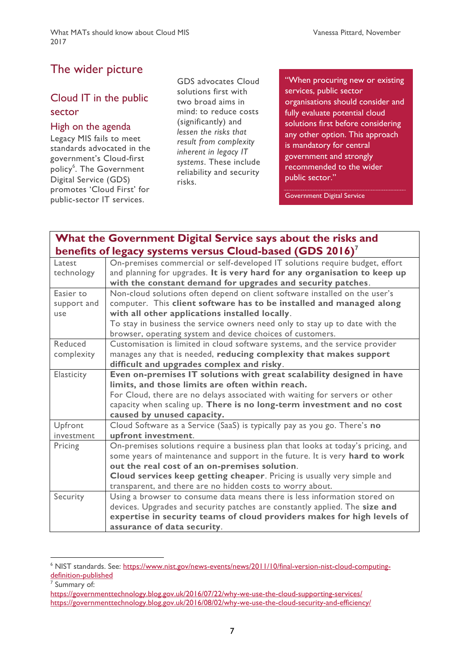# The wider picture

# Cloud IT in the public sector

#### High on the agenda

Legacy MIS fails to meet standards advocated in the government's Cloud-first policy<sup>6</sup>. The Government Digital Service (GDS) promotes 'Cloud First' for public-sector IT services.

GDS advocates Cloud solutions first with two broad aims in mind: to reduce costs (significantly) and *lessen the risks that result from complexity inherent in legacy IT systems*. These include reliability and security risks.

"When procuring new or existing services, public sector organisations should consider and fully evaluate potential cloud solutions first before considering any other option. This approach is mandatory for central government and strongly recommended to the wider public sector."

Government Digital Service

# **What the Government Digital Service says about the risks and benefits of legacy systems versus Cloud-based (GDS 2016)<sup>7</sup>**

| Latest      | On-premises commercial or self-developed IT solutions require budget, effort     |  |  |  |  |  |
|-------------|----------------------------------------------------------------------------------|--|--|--|--|--|
| technology  | and planning for upgrades. It is very hard for any organisation to keep up       |  |  |  |  |  |
|             | with the constant demand for upgrades and security patches.                      |  |  |  |  |  |
| Easier to   | Non-cloud solutions often depend on client software installed on the user's      |  |  |  |  |  |
| support and | computer. This client software has to be installed and managed along             |  |  |  |  |  |
| use         | with all other applications installed locally.                                   |  |  |  |  |  |
|             | To stay in business the service owners need only to stay up to date with the     |  |  |  |  |  |
|             | browser, operating system and device choices of customers.                       |  |  |  |  |  |
| Reduced     | Customisation is limited in cloud software systems, and the service provider     |  |  |  |  |  |
| complexity  | manages any that is needed, reducing complexity that makes support               |  |  |  |  |  |
|             | difficult and upgrades complex and risky.                                        |  |  |  |  |  |
| Elasticity  | Even on-premises IT solutions with great scalability designed in have            |  |  |  |  |  |
|             | limits, and those limits are often within reach.                                 |  |  |  |  |  |
|             | For Cloud, there are no delays associated with waiting for servers or other      |  |  |  |  |  |
|             | capacity when scaling up. There is no long-term investment and no cost           |  |  |  |  |  |
|             | caused by unused capacity.                                                       |  |  |  |  |  |
| Upfront     | Cloud Software as a Service (SaaS) is typically pay as you go. There's no        |  |  |  |  |  |
| investment  | upfront investment.                                                              |  |  |  |  |  |
| Pricing     | On-premises solutions require a business plan that looks at today's pricing, and |  |  |  |  |  |
|             | some years of maintenance and support in the future. It is very hard to work     |  |  |  |  |  |
|             | out the real cost of an on-premises solution.                                    |  |  |  |  |  |
|             | Cloud services keep getting cheaper. Pricing is usually very simple and          |  |  |  |  |  |
|             | transparent, and there are no hidden costs to worry about.                       |  |  |  |  |  |
| Security    | Using a browser to consume data means there is less information stored on        |  |  |  |  |  |
|             | devices. Upgrades and security patches are constantly applied. The size and      |  |  |  |  |  |
|             | expertise in security teams of cloud providers makes for high levels of          |  |  |  |  |  |
|             | assurance of data security.                                                      |  |  |  |  |  |

<sup>&</sup>lt;sup>6</sup> NIST standards. See: [https://www.nist.gov/news-events/news/2011/10/final-version-nist-cloud-computing](https://www.nist.gov/news-events/news/2011/10/final-version-nist-cloud-computing-definition-published)[definition-published](https://www.nist.gov/news-events/news/2011/10/final-version-nist-cloud-computing-definition-published)

 $\overline{a}$ 

<sup>7</sup> Summary of:

<https://governmenttechnology.blog.gov.uk/2016/07/22/why-we-use-the-cloud-supporting-services/> <https://governmenttechnology.blog.gov.uk/2016/08/02/why-we-use-the-cloud-security-and-efficiency/>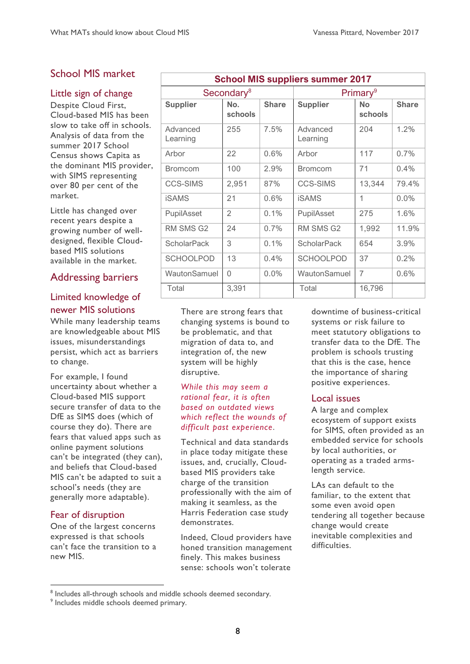# School MIS market

#### Little sign of change

Despite Cloud First, Cloud-based MIS has been slow to take off in schools. Analysis of data from the summer 2017 School Census shows Capita as the dominant MIS provider, with SIMS representing over 80 per cent of the market.

Little has changed over recent years despite a growing number of welldesigned, flexible Cloudbased MIS solutions available in the market.

#### Addressing barriers

## Limited knowledge of newer MIS solutions

While many leadership teams are knowledgeable about MIS issues, misunderstandings persist, which act as barriers to change.

For example, I found uncertainty about whether a Cloud-based MIS support secure transfer of data to the DfE as SIMS does (which of course they do). There are fears that valued apps such as online payment solutions can't be integrated (they can), and beliefs that Cloud-based MIS can't be adapted to suit a school's needs (they are generally more adaptable).

#### Fear of disruption

 $\overline{a}$ 

One of the largest concerns expressed is that schools can't face the transition to a new MIS.

| <b>School MIS suppliers summer 2017</b> |                |              |                      |                      |              |  |  |  |
|-----------------------------------------|----------------|--------------|----------------------|----------------------|--------------|--|--|--|
| Secondary <sup>8</sup>                  |                |              | Primary <sup>9</sup> |                      |              |  |  |  |
| <b>Supplier</b>                         | No.<br>schools | <b>Share</b> | <b>Supplier</b>      | <b>No</b><br>schools | <b>Share</b> |  |  |  |
| Advanced<br>Learning                    | 255            | 7.5%         | Advanced<br>Learning | 204                  | 1.2%         |  |  |  |
| Arbor                                   | 22             | 0.6%         | Arbor                | 117                  | 0.7%         |  |  |  |
| <b>Bromcom</b>                          | 100            | 2.9%         | <b>Bromcom</b>       | 71                   | 0.4%         |  |  |  |
| <b>CCS-SIMS</b>                         | 2,951          | 87%          | <b>CCS-SIMS</b>      | 13,344               | 79.4%        |  |  |  |
| iSAMS                                   | 21             | 0.6%         | iSAMS                | 1                    | $0.0\%$      |  |  |  |
| PupilAsset                              | $\overline{2}$ | 0.1%         | PupilAsset           | 275                  | 1.6%         |  |  |  |
| <b>RM SMS G2</b>                        | 24             | $0.7\%$      | RM SMS G2            | 1,992                | 11.9%        |  |  |  |
| <b>ScholarPack</b>                      | 3              | 0.1%         | <b>ScholarPack</b>   | 654                  | 3.9%         |  |  |  |
| <b>SCHOOLPOD</b>                        | 13             | 0.4%         | <b>SCHOOLPOD</b>     | 37                   | 0.2%         |  |  |  |
| WautonSamuel                            | 0              | $0.0\%$      | WautonSamuel         | $\overline{7}$       | 0.6%         |  |  |  |
| Total                                   | 3,391          |              | Total                | 16,796               |              |  |  |  |

There are strong fears that changing systems is bound to be problematic, and that migration of data to, and integration of, the new system will be highly disruptive.

#### *While this may seem a rational fear, it is often based on outdated views which reflect the wounds of difficult past experience*.

Technical and data standards in place today mitigate these issues, and, crucially, Cloudbased MIS providers take charge of the transition professionally with the aim of making it seamless, as the Harris Federation case study demonstrates.

Indeed, Cloud providers have honed transition management finely. This makes business sense: schools won't tolerate

downtime of business-critical systems or risk failure to meet statutory obligations to transfer data to the DfE. The problem is schools trusting that this is the case, hence the importance of sharing positive experiences.

#### Local issues

A large and complex ecosystem of support exists for SIMS, often provided as an embedded service for schools by local authorities, or operating as a traded armslength service.

LAs can default to the familiar, to the extent that some even avoid open tendering all together because change would create inevitable complexities and difficulties.

<sup>&</sup>lt;sup>8</sup> Includes all-through schools and middle schools deemed secondary.

<sup>9</sup> Includes middle schools deemed primary.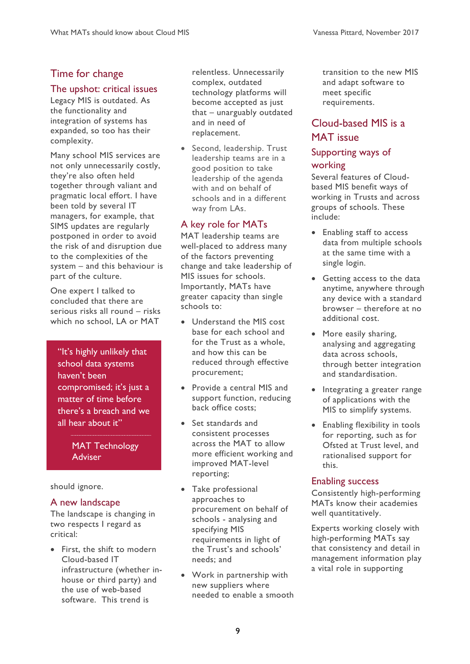# Time for change

#### The upshot: critical issues

Legacy MIS is outdated. As the functionality and integration of systems has expanded, so too has their complexity.

Many school MIS services are not only unnecessarily costly, they're also often held together through valiant and pragmatic local effort. I have been told by several IT managers, for example, that SIMS updates are regularly postponed in order to avoid the risk of and disruption due to the complexities of the system – and this behaviour is part of the culture.

One expert I talked to concluded that there are serious risks all round – risks which no school, LA or MAT

"It's highly unlikely that school data systems haven't been compromised; it's just a matter of time before there's a breach and we all hear about it"

#### MAT Technology Adviser

#### should ignore.

#### A new landscape

The landscape is changing in two respects I regard as critical:

• First, the shift to modern Cloud-based IT infrastructure (whether inhouse or third party) and the use of web-based software. This trend is

relentless. Unnecessarily complex, outdated technology platforms will become accepted as just that – unarguably outdated and in need of replacement.

• Second, leadership. Trust leadership teams are in a good position to take leadership of the agenda with and on behalf of schools and in a different way from LAs.

# A key role for MATs

MAT leadership teams are well-placed to address many of the factors preventing change and take leadership of MIS issues for schools. Importantly, MATs have greater capacity than single schools to:

- Understand the MIS cost base for each school and for the Trust as a whole, and how this can be reduced through effective procurement;
- Provide a central MIS and support function, reducing back office costs;
- Set standards and consistent processes across the MAT to allow more efficient working and improved MAT-level reporting;
- Take professional approaches to procurement on behalf of schools - analysing and specifying MIS requirements in light of the Trust's and schools' needs; and
- Work in partnership with new suppliers where needed to enable a smooth

transition to the new MIS and adapt software to meet specific requirements.

# Cloud-based MIS is a MAT issue

# Supporting ways of working

Several features of Cloudbased MIS benefit ways of working in Trusts and across groups of schools. These include:

- Enabling staff to access data from multiple schools at the same time with a single login.
- Getting access to the data anytime, anywhere through any device with a standard browser – therefore at no additional cost.
- More easily sharing, analysing and aggregating data across schools, through better integration and standardisation.
- Integrating a greater range of applications with the MIS to simplify systems.
- Enabling flexibility in tools for reporting, such as for Ofsted at Trust level, and rationalised support for this.

#### Enabling success

Consistently high-performing MATs know their academies well quantitatively.

Experts working closely with high-performing MATs say that consistency and detail in management information play a vital role in supporting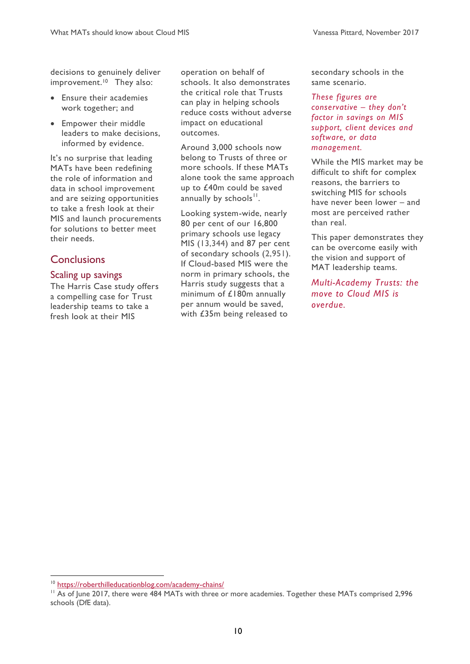decisions to genuinely deliver improvement.<sup>10</sup> They also:

- Ensure their academies work together; and
- Empower their middle leaders to make decisions, informed by evidence.

It's no surprise that leading MATs have been redefining the role of information and data in school improvement and are seizing opportunities to take a fresh look at their MIS and launch procurements for solutions to better meet their needs.

## **Conclusions**

#### Scaling up savings

The Harris Case study offers a compelling case for Trust leadership teams to take a fresh look at their MIS

operation on behalf of schools. It also demonstrates the critical role that Trusts can play in helping schools reduce costs without adverse impact on educational outcomes.

Around 3,000 schools now belong to Trusts of three or more schools. If these MATs alone took the same approach up to £40m could be saved annually by schools<sup>11</sup>.

Looking system-wide, nearly 80 per cent of our 16,800 primary schools use legacy MIS (13,344) and 87 per cent of secondary schools (2,951). If Cloud-based MIS were the norm in primary schools, the Harris study suggests that a minimum of £180m annually per annum would be saved, with £35m being released to

secondary schools in the same scenario.

*These figures are conservative – they don't factor in savings on MIS support, client devices and software, or data management.*

While the MIS market may be difficult to shift for complex reasons, the barriers to switching MIS for schools have never been lower – and most are perceived rather than real.

This paper demonstrates they can be overcome easily with the vision and support of MAT leadership teams.

*Multi-Academy Trusts: the move to Cloud MIS is overdue.*

<sup>10</sup> <https://roberthilleducationblog.com/academy-chains/>

<sup>&</sup>lt;sup>11</sup> As of June 2017, there were 484 MATs with three or more academies. Together these MATs comprised 2,996 schools (DfE data).